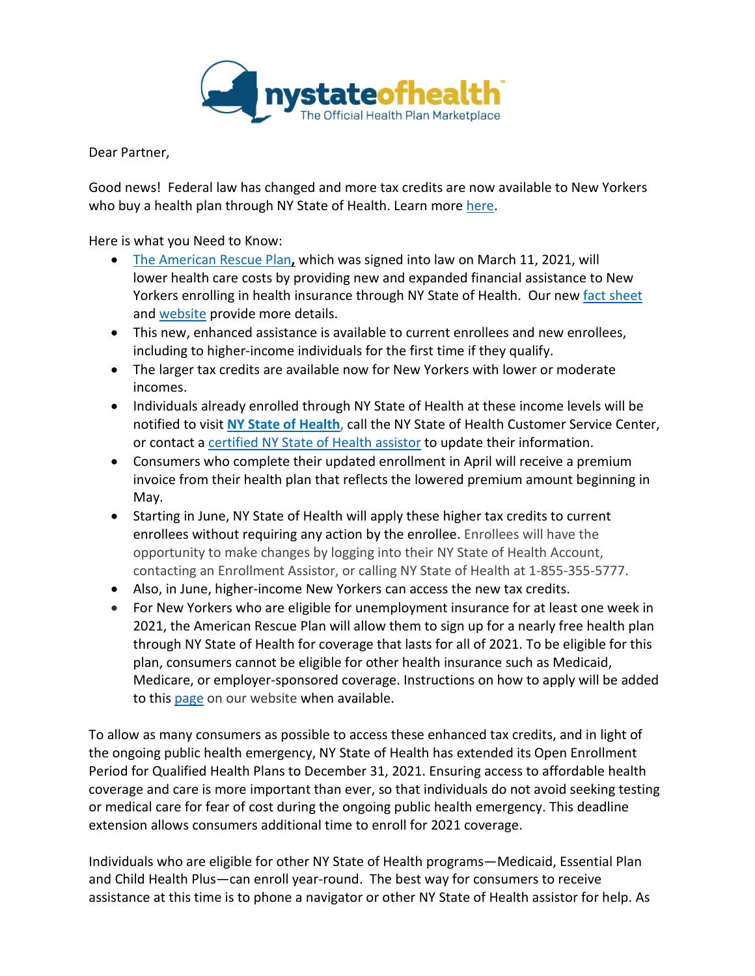

Dear Partner,

Good news! Federal law has changed and more tax credits are now available to New Yorkers who buy a health plan through NY State of Health. Learn more [here.](https://info.nystateofhealth.ny.gov/AmericanRescuePlan)

Here is what you Need to Know:

- The [American](https://www.congress.gov/bill/117th-congress/house-bill/1319/text) Rescue Plan**,** which was signed into law on March 11, 2021, will lower health care costs by providing new and expanded financial assistance to New Yorkers enrolling in health insurance through NY State of Health. Our new [fact sheet](https://info.nystateofhealth.ny.gov/resource/american-rescue-plan-fact-sheet-english) and [website](https://info.nystateofhealth.ny.gov/americanrescueplan) provide more details.
- This new, enhanced assistance is available to current enrollees and new enrollees, including to higher-income individuals for the first time if they qualify.
- The larger tax credits are available now for New Yorkers with lower or moderate incomes.
- Individuals already enrolled through NY State of Health at these income levels will be notified to visit **NY State of [Health](https://nystateofhealth.ny.gov/)**, call the NY State of Health Customer Service Center, or contact a [certified NY State of](https://info.nystateofhealth.ny.gov/ipanavigatorsitelocations) Health assistor to update their information.
- Consumers who complete their updated enrollment in April will receive a premium invoice from their health plan that reflects the lowered premium amount beginning in May.
- Starting in June, NY State of Health will apply these higher tax credits to current enrollees without requiring any action by the enrollee. Enrollees will have the opportunity to make changes by logging into their NY State of Health Account, contacting an Enrollment Assistor, or calling NY State of Health at 1-855-355-5777.
- Also, in June, higher-income New Yorkers can access the new tax credits.
- For New Yorkers who are eligible for unemployment insurance for at least one week in 2021, the American Rescue Plan will allow them to sign up for a nearly free health plan through NY State of Health for coverage that lasts for all of 2021. To be eligible for this plan, consumers cannot be eligible for other health insurance such as Medicaid, Medicare, or employer-sponsored coverage. Instructions on how to apply will be added to this [page](https://info.nystateofhealth.ny.gov/americanrescueplan) on our website when available.

To allow as many consumers as possible to access these enhanced tax credits, and in light of the ongoing public health emergency, NY State of Health has extended its Open Enrollment Period for Qualified Health Plans to December 31, 2021. Ensuring access to affordable health coverage and care is more important than ever, so that individuals do not avoid seeking testing or medical care for fear of cost during the ongoing public health emergency. This deadline extension allows consumers additional time to enroll for 2021 coverage.

Individuals who are eligible for other NY State of Health programs—Medicaid, Essential Plan and Child Health Plus—can enroll year-round. The best way for consumers to receive assistance at this time is to phone a navigator or other NY State of Health assistor for help. As